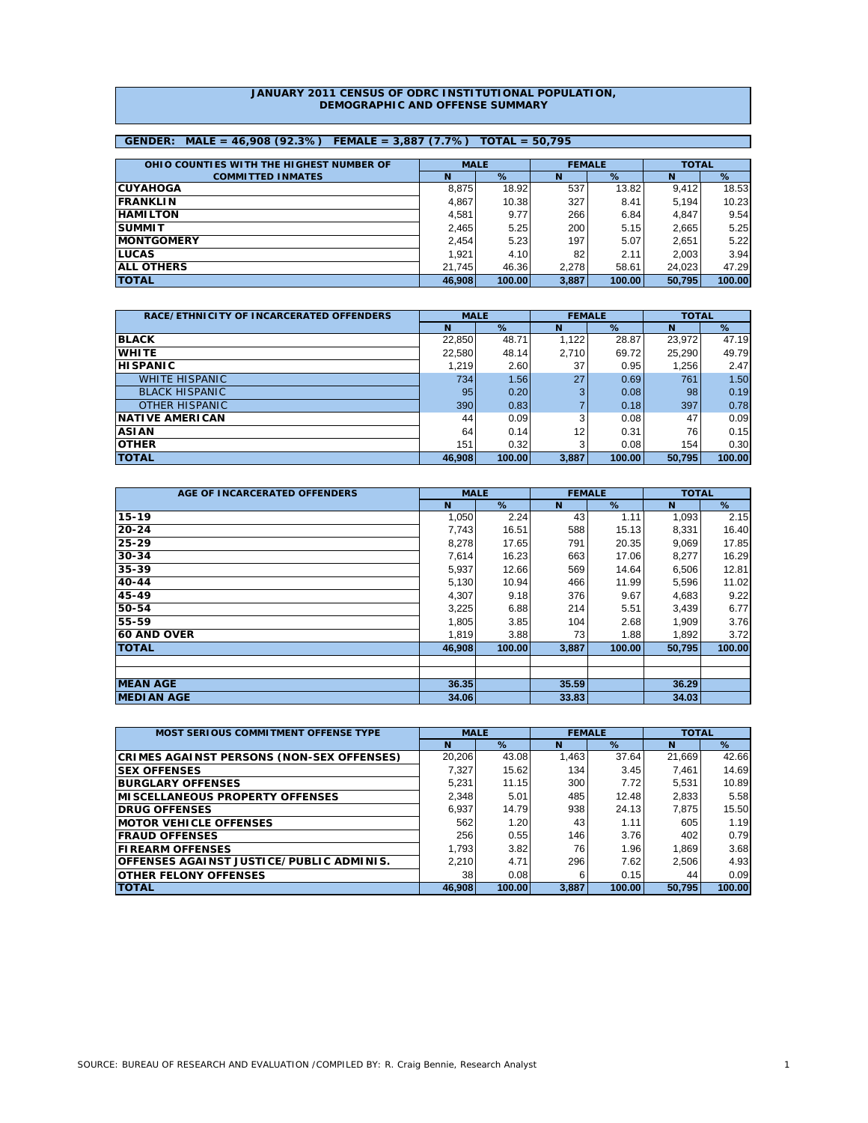#### **JANUARY 2011 CENSUS OF ODRC INSTITUTIONAL POPULATION, DEMOGRAPHIC AND OFFENSE SUMMARY**

# **GENDER: MALE = 46,908 (92.3%) FEMALE = 3,887 (7.7%) TOTAL = 50,795**

| OHIO COUNTIES WITH THE HIGHEST NUMBER OF | <b>MALE</b> |        |       | <b>FEMALE</b> | <b>TOTAL</b> |        |
|------------------------------------------|-------------|--------|-------|---------------|--------------|--------|
| <b>COMMITTED INMATES</b>                 | N           | %      | N     | %             | N            | %      |
| <b>CUYAHOGA</b>                          | 8.875       | 18.92  | 537   | 13.82         | 9.412        | 18.53  |
| <b>FRANKLIN</b>                          | 4.867       | 10.38  | 327   | 8.41          | 5,194        | 10.23  |
| <b>HAMILTON</b>                          | 4.581       | 9.77   | 266   | 6.84          | 4.847        | 9.54   |
| <b>SUMMIT</b>                            | 2.465       | 5.25   | 200   | 5.15          | 2,665        | 5.25   |
| <b>IMONTGOMERY</b>                       | 2.454       | 5.23   | 197   | 5.07          | 2,651        | 5.22   |
| <b>ILUCAS</b>                            | 1.921       | 4.10   | 82    | 2.11          | 2,003        | 3.94   |
| <b>ALL OTHERS</b>                        | 21.745      | 46.36  | 2.278 | 58.61         | 24.023       | 47.29  |
| <b>TOTAL</b>                             | 46.908      | 100.00 | 3.887 | 100.00        | 50.795       | 100.00 |

| RACE/ETHNICITY OF INCARCERATED OFFENDERS | <b>MALE</b> |        | <b>FEMALE</b> |        | <b>TOTAL</b> |        |  |
|------------------------------------------|-------------|--------|---------------|--------|--------------|--------|--|
|                                          | N           | %      | N             | %      | N            | %      |  |
| <b>BLACK</b>                             | 22,850      | 48.71  | 1,122         | 28.87  | 23,972       | 47.19  |  |
| <b>WHITE</b>                             | 22,580      | 48.14  | 2,710         | 69.72  | 25,290       | 49.79  |  |
| <b>HISPANIC</b>                          | 1,219       | 2.60   | 37            | 0.95   | 1,256        | 2.47   |  |
| <b>WHITE HISPANIC</b>                    | 734         | 1.56   | 27            | 0.69   | 761          | 1.50   |  |
| <b>BLACK HISPANIC</b>                    | 95          | 0.20   | 3             | 0.08   | 98           | 0.19   |  |
| <b>OTHER HISPANIC</b>                    | 390         | 0.83   |               | 0.18   | 397          | 0.78   |  |
| <b>NATIVE AMERICAN</b>                   | 44          | 0.09   |               | 0.08   | 47           | 0.09   |  |
| <b>ASIAN</b>                             | 64          | 0.14   | 12            | 0.31   | 76           | 0.15   |  |
| <b>OTHER</b>                             | 151         | 0.32   | 3             | 0.08   | 154          | 0.30   |  |
| <b>TOTAL</b>                             | 46,908      | 100.00 | 3,887         | 100.00 | 50,795       | 100.00 |  |

| AGE OF INCARCERATED OFFENDERS | <b>MALE</b> |        | <b>FEMALE</b> |        | <b>TOTAL</b> |        |
|-------------------------------|-------------|--------|---------------|--------|--------------|--------|
|                               | N           | %      | N             | %      | N            | %      |
| $15 - 19$                     | 1,050       | 2.24   | 43            | 1.11   | 1,093        | 2.15   |
| $20 - 24$                     | 7,743       | 16.51  | 588           | 15.13  | 8,331        | 16.40  |
| 25-29                         | 8,278       | 17.65  | 791           | 20.35  | 9,069        | 17.85  |
| $30 - 34$                     | 7,614       | 16.23  | 663           | 17.06  | 8,277        | 16.29  |
| 35-39                         | 5,937       | 12.66  | 569           | 14.64  | 6,506        | 12.81  |
| $40 - 44$                     | 5,130       | 10.94  | 466           | 11.99  | 5,596        | 11.02  |
| 45-49                         | 4,307       | 9.18   | 376           | 9.67   | 4,683        | 9.22   |
| 50-54                         | 3,225       | 6.88   | 214           | 5.51   | 3,439        | 6.77   |
| 55-59                         | 1,805       | 3.85   | 104           | 2.68   | 1,909        | 3.76   |
| <b>60 AND OVER</b>            | 1,819       | 3.88   | 73            | 1.88   | 1,892        | 3.72   |
| <b>TOTAL</b>                  | 46.908      | 100.00 | 3,887         | 100.00 | 50.795       | 100.00 |
|                               |             |        |               |        |              |        |
|                               |             |        |               |        |              |        |
| <b>MEAN AGE</b>               | 36.35       |        | 35.59         |        | 36.29        |        |
| <b>MEDIAN AGE</b>             | 34.06       |        | 33.83         |        | 34.03        |        |

| MOST SERIOUS COMMITMENT OFFENSE TYPE             | <b>MALE</b> |        | <b>FEMALE</b> |        | <b>TOTAL</b> |        |  |
|--------------------------------------------------|-------------|--------|---------------|--------|--------------|--------|--|
|                                                  | N           | %      | N             | $\%$   | N            | %      |  |
| <b>CRIMES AGAINST PERSONS (NON-SEX OFFENSES)</b> | 20,206      | 43.08  | 1.463         | 37.64  | 21,669       | 42.66  |  |
| <b>SEX OFFENSES</b>                              | 7.327       | 15.62  | 134           | 3.45   | 7.461        | 14.69  |  |
| <b>BURGLARY OFFENSES</b>                         | 5,231       | 11.15  | 300           | 7.72   | 5.531        | 10.89  |  |
| <b>MISCELLANEOUS PROPERTY OFFENSES</b>           | 2.348       | 5.01   | 485           | 12.48  | 2,833        | 5.58   |  |
| <b>DRUG OFFENSES</b>                             | 6.937       | 14.79  | 938           | 24.13  | 7.875        | 15.50  |  |
| <b>IMOTOR VEHICLE OFFENSES</b>                   | 562         | 1.20   | 43            | 1.11   | 605          | 1.19   |  |
| <b>FRAUD OFFENSES</b>                            | 256         | 0.55   | 146           | 3.76   | 402          | 0.79   |  |
| <b>FIREARM OFFENSES</b>                          | 1.793       | 3.82   | 76            | 1.96   | 1,869        | 3.68   |  |
| OFFENSES AGAINST JUSTICE/PUBLIC ADMINIS.         | 2.210       | 4.71   | 296           | 7.62   | 2,506        | 4.93   |  |
| <b>OTHER FELONY OFFENSES</b>                     | 38          | 0.08   | 6             | 0.15   | 44           | 0.09   |  |
| <b>TOTAL</b>                                     | 46.908      | 100.00 | 3.887         | 100.00 | 50.795       | 100.00 |  |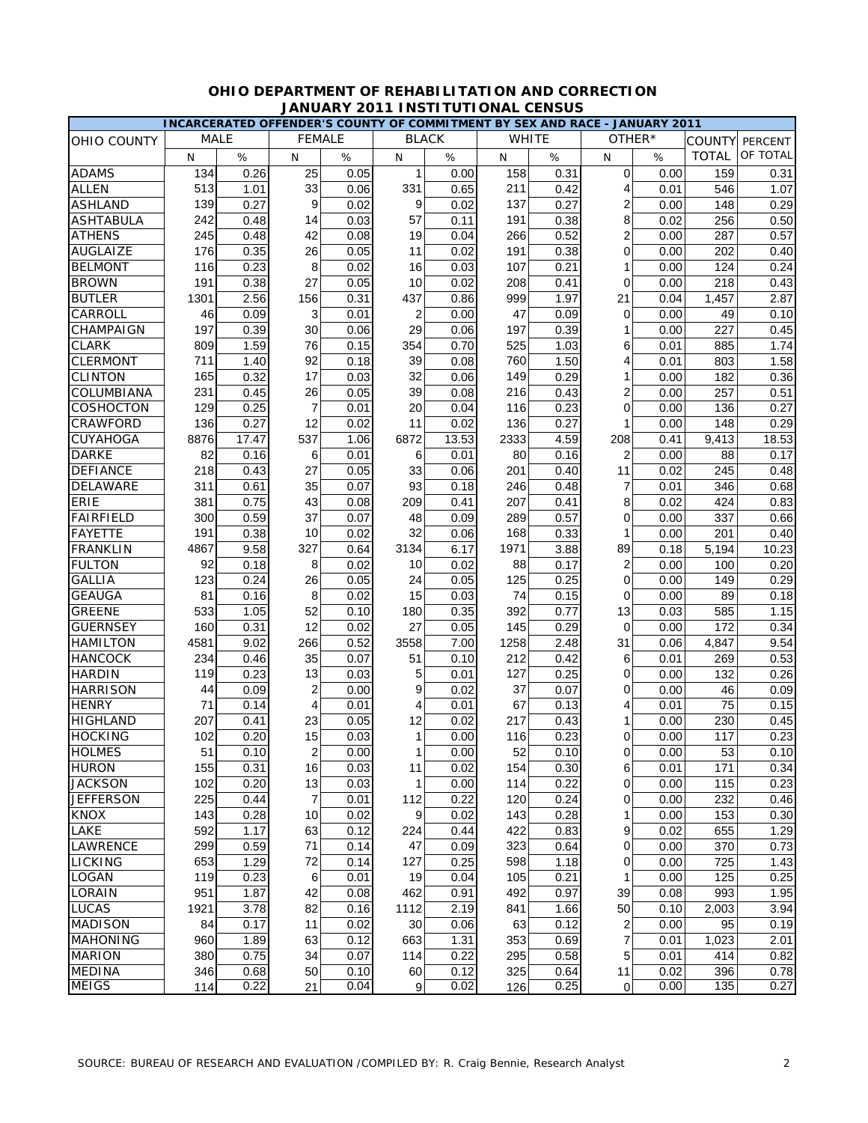|                    |             |       |                  |      |                |              |      | INCARCERATED OFFENDER'S COUNTY OF COMMITMENT BY SEX AND RACE - JANUARY 2011 |                |        |               |          |
|--------------------|-------------|-------|------------------|------|----------------|--------------|------|-----------------------------------------------------------------------------|----------------|--------|---------------|----------|
| <b>OHIO COUNTY</b> | <b>MALE</b> |       | <b>FEMALE</b>    |      |                | <b>BLACK</b> |      | <b>WHITE</b>                                                                |                | OTHER* | <b>COUNTY</b> | PERCENT  |
|                    | N           | %     | N                | %    | N              | $\%$         | N    | %                                                                           | N              | %      | <b>TOTAL</b>  | OF TOTAL |
| <b>ADAMS</b>       | 134         | 0.26  | 25               | 0.05 | $\mathbf 1$    | 0.00         | 158  | 0.31                                                                        | $\mathbf 0$    | 0.00   | 159           | 0.31     |
| <b>ALLEN</b>       | 513         | 1.01  | 33               | 0.06 | 331            | 0.65         | 211  | 0.42                                                                        | 4              | 0.01   | 546           | 1.07     |
| <b>ASHLAND</b>     | 139         | 0.27  | 9                | 0.02 | 9              | 0.02         | 137  | 0.27                                                                        | 2              | 0.00   | 148           | 0.29     |
| <b>ASHTABULA</b>   | 242         | 0.48  | 14               | 0.03 | 57             | 0.11         | 191  | 0.38                                                                        | 8              | 0.02   | 256           | 0.50     |
| <b>ATHENS</b>      | 245         | 0.48  | 42               | 0.08 | 19             | 0.04         | 266  | 0.52                                                                        | $\overline{c}$ | 0.00   | 287           | 0.57     |
| <b>AUGLAIZE</b>    | 176         | 0.35  | 26               | 0.05 | 11             | 0.02         | 191  | 0.38                                                                        | 0              | 0.00   | 202           | 0.40     |
| <b>BELMONT</b>     | 116         | 0.23  | 8                | 0.02 | 16             | 0.03         | 107  | 0.21                                                                        | 1              | 0.00   | 124           | 0.24     |
| <b>BROWN</b>       | 191         | 0.38  | 27               | 0.05 | 10             | 0.02         | 208  | 0.41                                                                        | 0              | 0.00   | 218           | 0.43     |
| <b>BUTLER</b>      | 1301        | 2.56  | 156              | 0.31 | 437            | 0.86         | 999  | 1.97                                                                        | 21             | 0.04   | 1,457         | 2.87     |
| CARROLL            | 46          | 0.09  | 3                | 0.01 | 2              | 0.00         | 47   | 0.09                                                                        | 0              | 0.00   | 49            | 0.10     |
| CHAMPAIGN          | 197         | 0.39  | 30               | 0.06 | 29             | 0.06         | 197  | 0.39                                                                        | 1              | 0.00   | 227           | 0.45     |
| <b>CLARK</b>       | 809         | 1.59  | 76               | 0.15 | 354            | 0.70         | 525  | 1.03                                                                        | 6              | 0.01   | 885           | 1.74     |
| <b>CLERMONT</b>    | 711         | 1.40  | 92               | 0.18 | 39             | 0.08         | 760  | 1.50                                                                        | 4              | 0.01   | 803           | 1.58     |
| <b>CLINTON</b>     | 165         | 0.32  | 17               | 0.03 | 32             | 0.06         | 149  | 0.29                                                                        | 1              | 0.00   | 182           | 0.36     |
| COLUMBIANA         | 231         | 0.45  | 26               | 0.05 | 39             | 0.08         | 216  | 0.43                                                                        | 2              | 0.00   | 257           | 0.51     |
| COSHOCTON          | 129         | 0.25  | $\overline{7}$   | 0.01 | 20             | 0.04         | 116  | 0.23                                                                        | 0              | 0.00   | 136           | 0.27     |
| CRAWFORD           | 136         | 0.27  | 12               | 0.02 | 11             | 0.02         | 136  | 0.27                                                                        | 1              | 0.00   | 148           | 0.29     |
| <b>CUYAHOGA</b>    | 8876        | 17.47 | 537              | 1.06 | 6872           | 13.53        | 2333 | 4.59                                                                        | 208            | 0.41   | 9,413         | 18.53    |
| <b>DARKE</b>       | 82          | 0.16  | 6                | 0.01 | 6              | 0.01         | 80   | 0.16                                                                        | $\overline{2}$ | 0.00   | 88            | 0.17     |
| <b>DEFIANCE</b>    | 218         | 0.43  | 27               | 0.05 | 33             | 0.06         | 201  | 0.40                                                                        | 11             | 0.02   | 245           | 0.48     |
| DELAWARE           | 311         | 0.61  | 35               | 0.07 | 93             | 0.18         | 246  | 0.48                                                                        | $\overline{7}$ | 0.01   | 346           | 0.68     |
| <b>ERIE</b>        | 381         | 0.75  | 43               | 0.08 | 209            | 0.41         | 207  | 0.41                                                                        | 8              | 0.02   | 424           | 0.83     |
| <b>FAIRFIELD</b>   | 300         | 0.59  | 37               | 0.07 | 48             | 0.09         | 289  | 0.57                                                                        | 0              | 0.00   | 337           | 0.66     |
| <b>FAYETTE</b>     | 191         | 0.38  | 10               | 0.02 | 32             | 0.06         | 168  | 0.33                                                                        | 1              | 0.00   | 201           | 0.40     |
| <b>FRANKLIN</b>    | 4867        | 9.58  | 327              | 0.64 | 3134           | 6.17         | 1971 | 3.88                                                                        | 89             | 0.18   | 5,194         | 10.23    |
| <b>FULTON</b>      | 92          | 0.18  | 8                | 0.02 | 10             | 0.02         | 88   | 0.17                                                                        | $\overline{2}$ | 0.00   | 100           | 0.20     |
| <b>GALLIA</b>      | 123         | 0.24  | 26               | 0.05 | 24             | 0.05         | 125  | 0.25                                                                        | 0              | 0.00   | 149           | 0.29     |
| <b>GEAUGA</b>      | 81          | 0.16  | 8                | 0.02 | 15             | 0.03         | 74   | 0.15                                                                        | 0              | 0.00   | 89            | 0.18     |
| <b>GREENE</b>      | 533         | 1.05  | 52               | 0.10 | 180            | 0.35         | 392  | 0.77                                                                        | 13             | 0.03   | 585           | 1.15     |
| <b>GUERNSEY</b>    | 160         | 0.31  | 12               | 0.02 | 27             | 0.05         | 145  | 0.29                                                                        | 0              | 0.00   | 172           | 0.34     |
| <b>HAMILTON</b>    | 4581        | 9.02  | 266              | 0.52 | 3558           | 7.00         | 1258 | 2.48                                                                        | 31             | 0.06   | 4,847         | 9.54     |
| <b>HANCOCK</b>     | 234         | 0.46  | 35               | 0.07 | 51             | 0.10         | 212  | 0.42                                                                        | 6              | 0.01   | 269           | 0.53     |
| <b>HARDIN</b>      | 119         | 0.23  | 13               | 0.03 | 5              | 0.01         | 127  | 0.25                                                                        | 0              | 0.00   | 132           | 0.26     |
| <b>HARRISON</b>    | 44          | 0.09  | $\overline{2}$   | 0.00 | 9              | 0.02         | 37   | 0.07                                                                        | 0              | 0.00   | 46            | 0.09     |
| <b>HENRY</b>       | 71          | 0.14  | $\overline{4}$   | 0.01 | 4              | 0.01         | 67   | 0.13                                                                        | 4              | 0.01   | 75            | 0.15     |
| <b>HIGHLAND</b>    | 207         | 0.41  | 23               | 0.05 | 12             | 0.02         | 217  | 0.43                                                                        | 1              | 0.00   | 230           | 0.45     |
| <b>HOCKING</b>     | 102         | 0.20  | 15               | 0.03 | 1              | 0.00         | 116  | 0.23                                                                        | $\overline{0}$ | 0.00   | 117           | 0.23     |
| <b>HOLMES</b>      | 51          | 0.10  | $\boldsymbol{2}$ | 0.00 |                | 0.00         | 52   | 0.10                                                                        | $\overline{0}$ | 0.00   | 53            | 0.10     |
| <b>HURON</b>       | 155         | 0.31  | 16               | 0.03 | 11             | 0.02         | 154  | 0.30                                                                        | 6              | 0.01   | 171           | 0.34     |
| <b>JACKSON</b>     | 102         | 0.20  | 13               | 0.03 | 1              | 0.00         | 114  | 0.22                                                                        | 0              | 0.00   | 115           | 0.23     |
| <b>JEFFERSON</b>   | 225         | 0.44  | $\overline{7}$   | 0.01 | 112            | 0.22         | 120  | 0.24                                                                        | 0              | 0.00   | 232           | 0.46     |
| <b>KNOX</b>        | 143         | 0.28  | 10               | 0.02 | 9              | 0.02         | 143  | 0.28                                                                        | 1              | 0.00   | 153           | 0.30     |
| LAKE               | 592         | 1.17  | 63               | 0.12 | 224            | 0.44         | 422  | 0.83                                                                        | 9              | 0.02   | 655           | 1.29     |
| LAWRENCE           | 299         | 0.59  | 71               | 0.14 | 47             | 0.09         | 323  | 0.64                                                                        | $\overline{0}$ | 0.00   | 370           | 0.73     |
| <b>LICKING</b>     | 653         | 1.29  | 72               | 0.14 | 127            | 0.25         | 598  | 1.18                                                                        | $\overline{0}$ | 0.00   | 725           | 1.43     |
| <b>LOGAN</b>       | 119         | 0.23  | 6                | 0.01 | 19             | 0.04         | 105  | 0.21                                                                        | 1              | 0.00   | 125           | 0.25     |
| LORAIN             | 951         | 1.87  | 42               | 0.08 | 462            | 0.91         | 492  | 0.97                                                                        | 39             | 0.08   | 993           | 1.95     |
| <b>LUCAS</b>       | 1921        | 3.78  | 82               | 0.16 | 1112           | 2.19         | 841  | 1.66                                                                        | 50             | 0.10   | 2,003         | 3.94     |
| <b>MADISON</b>     | 84          | 0.17  | 11               | 0.02 | 30             | 0.06         | 63   | 0.12                                                                        | $\overline{c}$ | 0.00   | 95            | 0.19     |
| <b>MAHONING</b>    | 960         | 1.89  | 63               | 0.12 | 663            | 1.31         | 353  | 0.69                                                                        | 7              | 0.01   | 1,023         | 2.01     |
| <b>MARION</b>      | 380         | 0.75  | 34               | 0.07 | 114            | 0.22         | 295  | 0.58                                                                        | 5              | 0.01   | 414           | 0.82     |
| <b>MEDINA</b>      | 346         | 0.68  | 50               | 0.10 | 60             | 0.12         | 325  | 0.64                                                                        | 11             | 0.02   | 396           | 0.78     |
| <b>MEIGS</b>       | 114         | 0.22  | 21               | 0.04 | $\overline{9}$ | 0.02         | 126  | 0.25                                                                        | $\overline{O}$ | 0.00   | 135           | 0.27     |

## **OHIO DEPARTMENT OF REHABILITATION AND CORRECTION JANUARY 2011 INSTITUTIONAL CENSUS**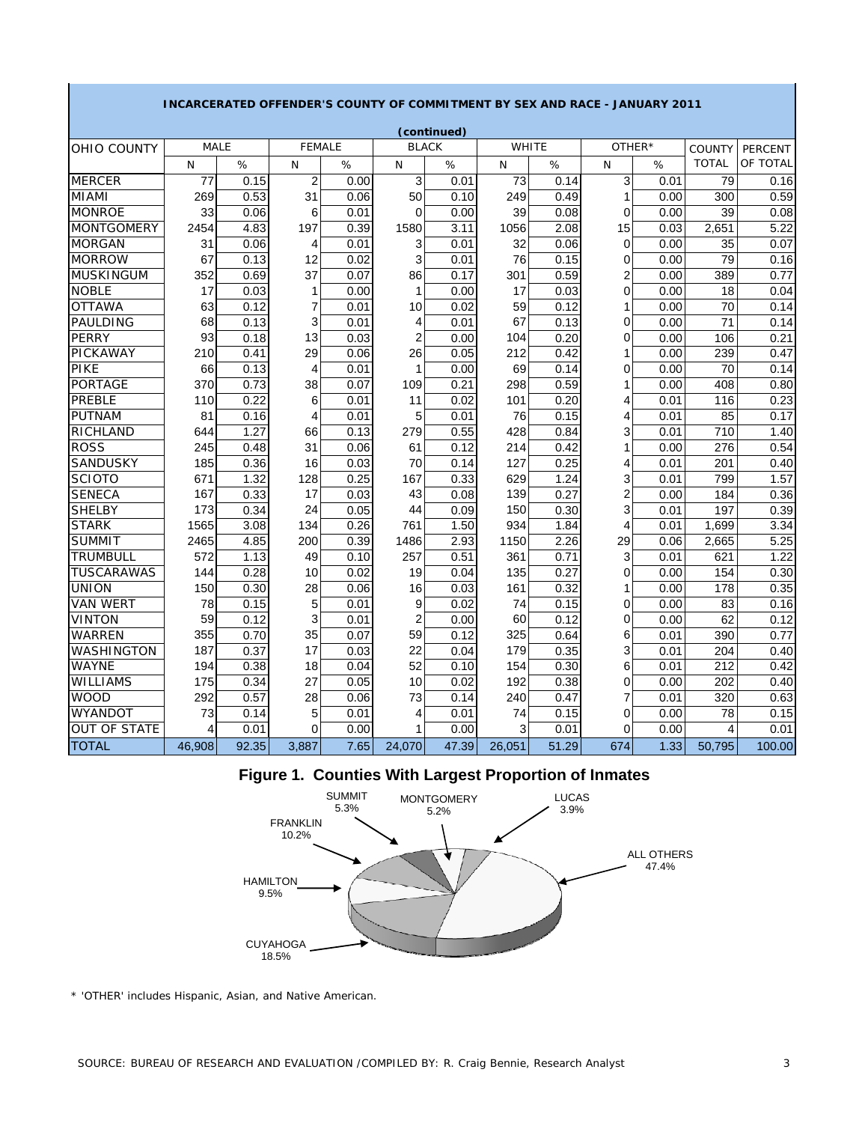|                                  |              |              |                | LIVLER J GOOIVET | $\mathbf{v}$   | CONTINITIONLINI DI SLA AND RACL |        |              |                |              |                               |                            |
|----------------------------------|--------------|--------------|----------------|------------------|----------------|---------------------------------|--------|--------------|----------------|--------------|-------------------------------|----------------------------|
|                                  | <b>MALE</b>  |              | <b>FEMALE</b>  |                  | <b>BLACK</b>   | (continued)                     |        | WHITE        | OTHER*         |              |                               |                            |
| OHIO COUNTY                      | $\mathsf{N}$ | %            | $\mathsf{N}$   | %                | N              | %                               | N      | %            | N              | %            | <b>COUNTY</b><br><b>TOTAL</b> | <b>PERCENT</b><br>OF TOTAL |
| <b>MERCER</b>                    | 77           | 0.15         | $\overline{2}$ | 0.00             | 3              | 0.01                            | 73     | 0.14         | 3              | 0.01         | 79                            | 0.16                       |
| <b>MIAMI</b>                     | 269          | 0.53         | 31             |                  | 50             |                                 | 249    | 0.49         | 1              | 0.00         | 300                           | 0.59                       |
| <b>MONROE</b>                    | 33           | 0.06         | 6              | 0.06<br>0.01     | 0              | 0.10<br>0.00                    | 39     | 0.08         | 0              | 0.00         | 39                            | 0.08                       |
| <b>MONTGOMERY</b>                | 2454         | 4.83         | 197            | 0.39             | 1580           | 3.11                            | 1056   | 2.08         | 15             | 0.03         | 2,651                         | 5.22                       |
| <b>MORGAN</b>                    |              | 0.06         |                | 0.01             | 3              |                                 | 32     | 0.06         | 0              | 0.00         | 35                            | 0.07                       |
| <b>MORROW</b>                    | 31<br>67     | 0.13         | 4<br>12        | 0.02             | 3              | 0.01<br>0.01                    | 76     | 0.15         | 0              | 0.00         | 79                            | 0.16                       |
|                                  | 352          |              | 37             |                  | 86             |                                 | 301    |              | 2              |              |                               |                            |
| <b>MUSKINGUM</b><br><b>NOBLE</b> | 17           | 0.69<br>0.03 | 1              | 0.07<br>0.00     | 1              | 0.17<br>0.00                    | 17     | 0.59<br>0.03 | 0              | 0.00<br>0.00 | 389<br>18                     | 0.77<br>0.04               |
| <b>OTTAWA</b>                    | 63           | 0.12         | 7              |                  | 10             |                                 | 59     | 0.12         | 1              |              | 70                            |                            |
| PAULDING                         | 68           | 0.13         | 3              | 0.01<br>0.01     | 4              | 0.02<br>0.01                    | 67     | 0.13         | 0              | 0.00<br>0.00 | 71                            | 0.14<br>0.14               |
| <b>PERRY</b>                     | 93           | 0.18         | 13             | 0.03             | 2              | 0.00                            | 104    | 0.20         | 0              | 0.00         | 106                           | 0.21                       |
| <b>PICKAWAY</b>                  | 210          | 0.41         | 29             | 0.06             | 26             | 0.05                            | 212    | 0.42         | 1              | 0.00         | 239                           | 0.47                       |
| PIKE                             | 66           | 0.13         | 4              | 0.01             | 1              | 0.00                            | 69     | 0.14         | 0              | 0.00         | $\overline{70}$               | 0.14                       |
| PORTAGE                          | 370          | 0.73         | 38             | 0.07             | 109            | 0.21                            | 298    | 0.59         | 1              | 0.00         | 408                           | 0.80                       |
| PREBLE                           | 110          | 0.22         | 6              | 0.01             | 11             | 0.02                            | 101    | 0.20         | 4              | 0.01         | 116                           | 0.23                       |
| <b>PUTNAM</b>                    | 81           | 0.16         | 4              | 0.01             | 5              | 0.01                            | 76     | 0.15         | 4              | 0.01         | 85                            | 0.17                       |
| RICHLAND                         | 644          | 1.27         | 66             | 0.13             | 279            | 0.55                            | 428    | 0.84         | 3              | 0.01         | 710                           | 1.40                       |
| <b>ROSS</b>                      | 245          | 0.48         | 31             | 0.06             | 61             | 0.12                            | 214    | 0.42         |                | 0.00         | 276                           | 0.54                       |
| SANDUSKY                         | 185          | 0.36         | 16             | 0.03             | 70             | 0.14                            | 127    | 0.25         | 4              | 0.01         | 201                           | 0.40                       |
| <b>SCIOTO</b>                    | 671          | 1.32         | 128            | 0.25             | 167            | 0.33                            | 629    | 1.24         | 3              | 0.01         | 799                           | 1.57                       |
| <b>SENECA</b>                    | 167          | 0.33         | 17             | 0.03             | 43             | 0.08                            | 139    | 0.27         | $\overline{c}$ | 0.00         | 184                           | 0.36                       |
| <b>SHELBY</b>                    | 173          | 0.34         | 24             | 0.05             | 44             | 0.09                            | 150    | 0.30         | 3              | 0.01         | 197                           | 0.39                       |
| <b>STARK</b>                     | 1565         | 3.08         | 134            | 0.26             | 761            | 1.50                            | 934    | 1.84         | 4              | 0.01         | 1,699                         | 3.34                       |
| <b>SUMMIT</b>                    | 2465         | 4.85         | 200            | 0.39             | 1486           | 2.93                            | 1150   | 2.26         | 29             | 0.06         | 2,665                         | 5.25                       |
| <b>TRUMBULL</b>                  | 572          | 1.13         | 49             | 0.10             | 257            | 0.51                            | 361    | 0.71         | 3              | 0.01         | 621                           | 1.22                       |
| <b>TUSCARAWAS</b>                | 144          | 0.28         | 10             | 0.02             | 19             | 0.04                            | 135    | 0.27         | 0              | 0.00         | 154                           | 0.30                       |
| <b>UNION</b>                     | 150          | 0.30         | 28             | 0.06             | 16             | 0.03                            | 161    | 0.32         |                | 0.00         | 178                           | 0.35                       |
| <b>VAN WERT</b>                  | 78           | 0.15         | 5              | 0.01             | 9              | 0.02                            | 74     | 0.15         | 0              | 0.00         | 83                            | 0.16                       |
| <b>VINTON</b>                    | 59           | 0.12         | 3              | 0.01             | $\overline{c}$ | 0.00                            | 60     | 0.12         | 0              | 0.00         | 62                            | 0.12                       |
| WARREN                           | 355          | 0.70         | 35             | 0.07             | 59             | 0.12                            | 325    | 0.64         | 6              | 0.01         | 390                           | 0.77                       |
| WASHINGTON                       | 187          | 0.37         | 17             | 0.03             | 22             | 0.04                            | 179    | 0.35         | 3              | 0.01         | 204                           | 0.40                       |
| <b>WAYNE</b>                     | 194          | 0.38         | 18             | 0.04             | 52             | 0.10                            | 154    | 0.30         | 6              | 0.01         | 212                           | 0.42                       |
| WILLIAMS                         | 175          | 0.34         | 27             | 0.05             | 10             | 0.02                            | 192    | 0.38         | 0              | 0.00         | 202                           | 0.40                       |
| <b>WOOD</b>                      | 292          | 0.57         | 28             | 0.06             | 73             | 0.14                            | 240    | 0.47         | 7              | 0.01         | 320                           | 0.63                       |
| WYANDOT                          | 73           | 0.14         | 5              | 0.01             | 4              | 0.01                            | 74     | 0.15         | 0              | 0.00         | 78                            | 0.15                       |
| <b>OUT OF STATE</b>              | 4            | 0.01         | 0              | 0.00             | 1              | 0.00                            | 3      | 0.01         | 0              | 0.00         | 4                             | 0.01                       |
| <b>TOTAL</b>                     | 46.908       | 92.35        | 3.887          | 7.65             | 24.070         | 47.39                           | 26.051 | 51.29        | 674            | 1.33         | 50.795                        | 100.00                     |

### **INCARCERATED OFFENDER'S COUNTY OF COMMITMENT BY SEX AND RACE - JANUARY 2011**





\* 'OTHER' includes Hispanic, Asian, and Native American.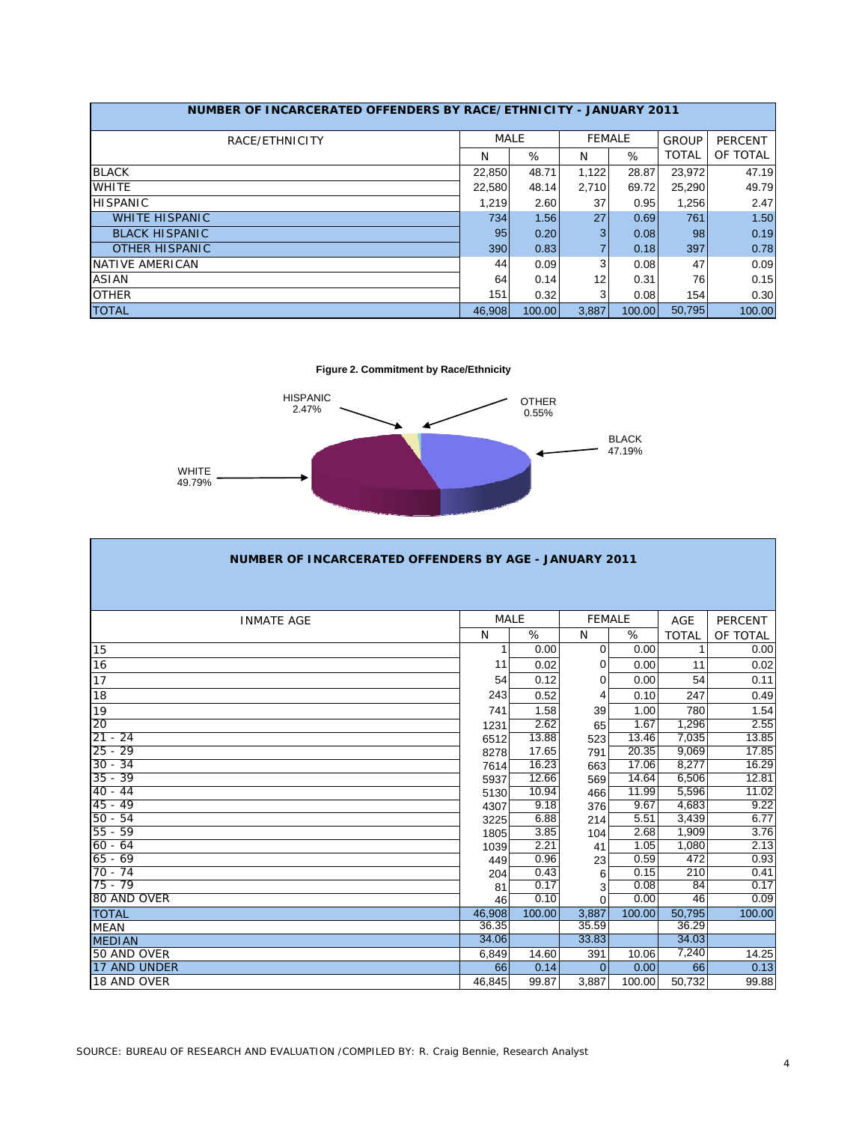| NUMBER OF INCARCERATED OFFENDERS BY RACE/ETHNICITY - JANUARY 2011 |             |        |               |        |              |                |
|-------------------------------------------------------------------|-------------|--------|---------------|--------|--------------|----------------|
| RACE/ETHNICITY                                                    | <b>MALE</b> |        | <b>FEMALE</b> |        | <b>GROUP</b> | <b>PERCENT</b> |
|                                                                   | N           | %      | N             | %      | <b>TOTAL</b> | OF TOTAL       |
| <b>BLACK</b>                                                      | 22,850      | 48.71  | 1,122         | 28.87  | 23.972       | 47.19          |
| <b>WHITE</b>                                                      | 22,580      | 48.14  | 2.710         | 69.72  | 25,290       | 49.79          |
| <b>HISPANIC</b>                                                   | 1,219       | 2.60   | 37            | 0.95   | 1,256        | 2.47           |
| <b>WHITE HISPANIC</b>                                             | 734         | 1.56   | 27            | 0.69   | 761          | 1.50           |
| <b>BLACK HISPANIC</b>                                             | 95          | 0.20   | 3             | 0.08   | 98           | 0.19           |
| <b>OTHER HISPANIC</b>                                             | 390         | 0.83   |               | 0.18   | 397          | 0.78           |
| NATIVE AMERICAN                                                   | 44          | 0.09   | 3             | 0.08   | 47           | 0.09           |
| ASIAN                                                             | 64          | 0.14   | 12            | 0.31   | 76           | 0.15           |
| <b>OTHER</b>                                                      | 151         | 0.32   | 3             | 0.08   | 154          | 0.30           |
| <b>TOTAL</b>                                                      | 46.908      | 100.00 | 3.887         | 100.00 | 50.795       | 100.00         |

**Figure 2. Commitment by Race/Ethnicity**



| <b>NUMBER OF INCARCERATED OFFENDERS BY AGE - JANUARY 2011</b> |             |        |               |                    |              |                |  |  |  |  |
|---------------------------------------------------------------|-------------|--------|---------------|--------------------|--------------|----------------|--|--|--|--|
|                                                               |             |        |               |                    |              |                |  |  |  |  |
|                                                               |             |        |               |                    |              |                |  |  |  |  |
| <b>INMATE AGE</b>                                             | <b>MALE</b> |        | <b>FEMALE</b> |                    | <b>AGE</b>   | <b>PERCENT</b> |  |  |  |  |
|                                                               | N           | %      | N             | %                  | <b>TOTAL</b> | OF TOTAL       |  |  |  |  |
| 15                                                            | 1           | 0.00   | $\Omega$      | 0.00               | 1            | 0.00           |  |  |  |  |
| 16                                                            | 11          | 0.02   | 0             | 0.00               | 11           | 0.02           |  |  |  |  |
| 17                                                            | 54          | 0.12   | 0             | 0.00               | 54           | 0.11           |  |  |  |  |
| 18                                                            | 243         | 0.52   | 4             | 0.10               | 247          | 0.49           |  |  |  |  |
| 19                                                            | 741         | 1.58   | 39            | 1.00               | 780          | 1.54           |  |  |  |  |
| 20                                                            | 1231        | 2.62   | 65            | 1.67               | 1,296        | 2.55           |  |  |  |  |
| $21 - 24$                                                     | 6512        | 13.88  | 523           | 13.46              | 7,035        | 13.85          |  |  |  |  |
| $25 - 29$                                                     | 8278        | 17.65  | 791           | 20.35              | 9,069        | 17.85          |  |  |  |  |
| $30 - 34$                                                     | 7614        | 16.23  | 663           | 17.06              | 8,277        | 16.29          |  |  |  |  |
| $35 - 39$                                                     | 5937        | 12.66  | 569           | $14.\overline{64}$ | 6,506        | 12.81          |  |  |  |  |
| $40 - 44$                                                     | 5130        | 10.94  | 466           | 11.99              | 5,596        | 11.02          |  |  |  |  |
| $45 - 49$                                                     | 4307        | 9.18   | 376           | 9.67               | 4,683        | 9.22           |  |  |  |  |
| $50 - 54$                                                     | 3225        | 6.88   | 214           | 5.51               | 3,439        | 6.77           |  |  |  |  |
| $55 - 59$                                                     | 1805        | 3.85   | 104           | 2.68               | 1,909        | 3.76           |  |  |  |  |
| $60 - 64$                                                     | 1039        | 2.21   | 41            | 1.05               | 1,080        | 2.13           |  |  |  |  |
| $65 - 69$                                                     | 449         | 0.96   | 23            | 0.59               | 472          | 0.93           |  |  |  |  |
| $70 - 74$                                                     | 204         | 0.43   | 6             | 0.15               | 210          | 0.41           |  |  |  |  |
| $75 - 79$                                                     | 81          | 0.17   | 3             | 0.08               | 84           | 0.17           |  |  |  |  |
| 80 AND OVER                                                   | 46          | 0.10   | $\Omega$      | 0.00               | 46           | 0.09           |  |  |  |  |
| <b>TOTAL</b>                                                  | 46,908      | 100.00 | 3,887         | 100.00             | 50,795       | 100.00         |  |  |  |  |
| <b>MEAN</b>                                                   | 36.35       |        | 35.59         |                    | 36.29        |                |  |  |  |  |
| <b>MEDIAN</b>                                                 | 34.06       |        | 33.83         |                    | 34.03        |                |  |  |  |  |
| 50 AND OVER                                                   | 6,849       | 14.60  | 391           | 10.06              | 7,240        | 14.25          |  |  |  |  |
| 17 AND UNDER                                                  | 66          | 0.14   | $\Omega$      | 0.00               | 66           | 0.13           |  |  |  |  |
| 18 AND OVER                                                   | 46,845      | 99.87  | 3,887         | 100.00             | 50,732       | 99.88          |  |  |  |  |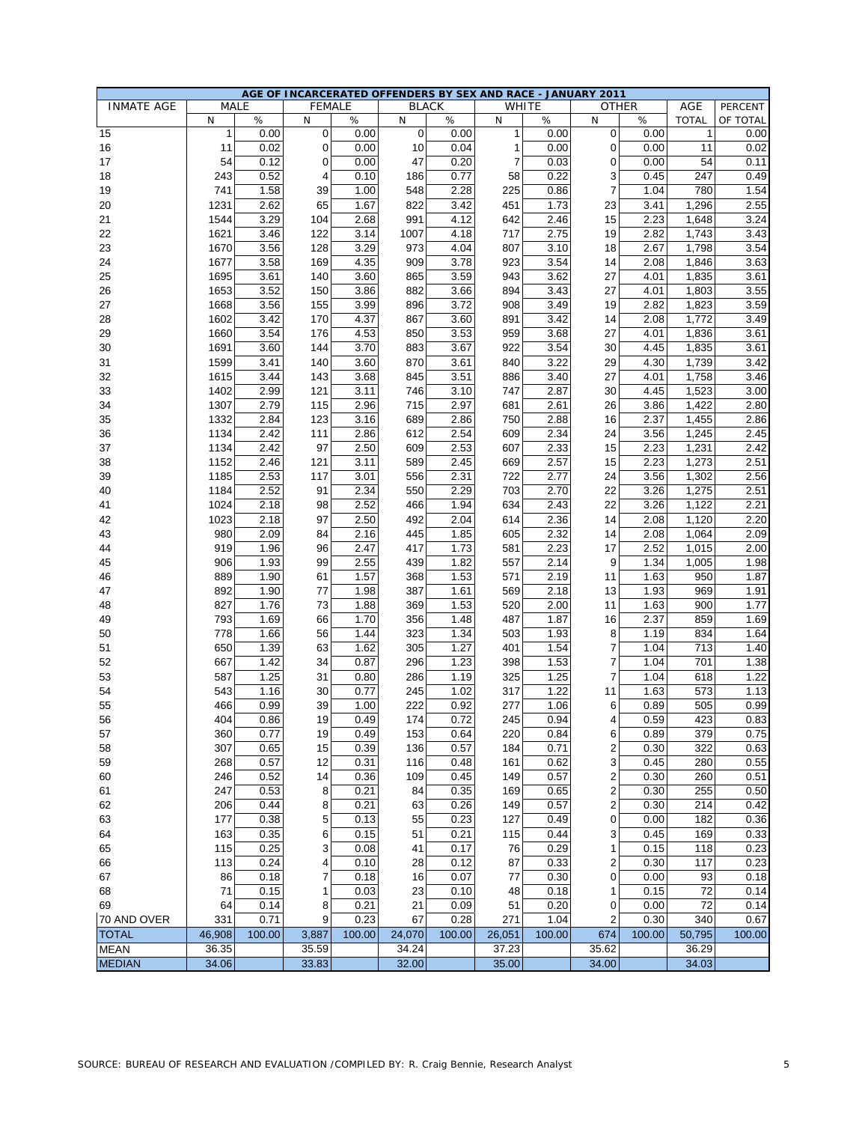|                   |              |        |             |               |             | AGE OF INCARCERATED OFFENDERS BY SEX AND RACE - JANUARY 2011 |                |              |                |              |              |          |
|-------------------|--------------|--------|-------------|---------------|-------------|--------------------------------------------------------------|----------------|--------------|----------------|--------------|--------------|----------|
| <b>INMATE AGE</b> | MALE         |        |             | <b>FEMALE</b> |             | <b>BLACK</b>                                                 |                | <b>WHITE</b> |                | <b>OTHER</b> | AGE          | PERCENT  |
|                   | N            | $\%$   | N           | %             | N           | %                                                            | N              | %            | N              | %            | <b>TOTAL</b> | OF TOTAL |
| 15                | $\mathbf{1}$ | 0.00   | $\mathbf 0$ | 0.00          | $\mathbf 0$ | 0.00                                                         | $\mathbf{1}$   | 0.00         | 0              | 0.00         | $\mathbf{1}$ | 0.00     |
| 16                | 11           | 0.02   | 0           | 0.00          | 10          | 0.04                                                         | $\mathbf{1}$   | 0.00         | 0              | 0.00         | 11           | 0.02     |
|                   |              |        |             |               |             |                                                              |                |              |                |              |              |          |
| 17                | 54           | 0.12   | 0           | 0.00          | 47          | 0.20                                                         | $\overline{7}$ | 0.03         | 0              | 0.00         | 54           | 0.11     |
| 18                | 243          | 0.52   | 4           | 0.10          | 186         | 0.77                                                         | 58             | 0.22         | 3              | 0.45         | 247          | 0.49     |
| 19                | 741          | 1.58   | 39          | 1.00          | 548         | 2.28                                                         | 225            | 0.86         | $\overline{7}$ | 1.04         | 780          | 1.54     |
| 20                | 1231         | 2.62   | 65          | 1.67          | 822         | 3.42                                                         | 451            | 1.73         | 23             | 3.41         | 1,296        | 2.55     |
|                   |              |        |             |               |             |                                                              |                |              |                |              |              |          |
| 21                | 1544         | 3.29   | 104         | 2.68          | 991         | 4.12                                                         | 642            | 2.46         | 15             | 2.23         | 1,648        | 3.24     |
| 22                | 1621         | 3.46   | 122         | 3.14          | 1007        | 4.18                                                         | 717            | 2.75         | 19             | 2.82         | 1,743        | 3.43     |
| 23                | 1670         | 3.56   | 128         | 3.29          | 973         | 4.04                                                         | 807            | 3.10         | 18             | 2.67         | 1,798        | 3.54     |
| 24                | 1677         | 3.58   | 169         | 4.35          | 909         | 3.78                                                         | 923            | 3.54         | 14             | 2.08         | 1,846        | 3.63     |
| 25                | 1695         | 3.61   | 140         | 3.60          | 865         | 3.59                                                         | 943            | 3.62         | 27             | 4.01         | 1,835        | 3.61     |
| 26                | 1653         | 3.52   | 150         | 3.86          | 882         | 3.66                                                         | 894            | 3.43         | 27             | 4.01         | 1,803        | 3.55     |
|                   |              |        |             |               |             |                                                              |                |              |                |              |              |          |
| 27                | 1668         | 3.56   | 155         | 3.99          | 896         | 3.72                                                         | 908            | 3.49         | 19             | 2.82         | 1,823        | 3.59     |
| 28                | 1602         | 3.42   | 170         | 4.37          | 867         | 3.60                                                         | 891            | 3.42         | 14             | 2.08         | 1,772        | 3.49     |
| 29                | 1660         | 3.54   | 176         | 4.53          | 850         | 3.53                                                         | 959            | 3.68         | 27             | 4.01         | 1,836        | 3.61     |
| 30                | 1691         | 3.60   | 144         | 3.70          | 883         | 3.67                                                         | 922            | 3.54         | 30             | 4.45         | 1,835        | 3.61     |
| 31                |              | 3.41   | 140         | 3.60          | 870         | 3.61                                                         | 840            | 3.22         | 29             | 4.30         |              | 3.42     |
|                   | 1599         |        |             |               |             |                                                              |                |              |                |              | 1,739        |          |
| 32                | 1615         | 3.44   | 143         | 3.68          | 845         | 3.51                                                         | 886            | 3.40         | 27             | 4.01         | 1,758        | 3.46     |
| 33                | 1402         | 2.99   | 121         | 3.11          | 746         | 3.10                                                         | 747            | 2.87         | 30             | 4.45         | 1,523        | 3.00     |
| 34                | 1307         | 2.79   | 115         | 2.96          | 715         | 2.97                                                         | 681            | 2.61         | 26             | 3.86         | 1,422        | 2.80     |
| 35                | 1332         | 2.84   | 123         | 3.16          | 689         | 2.86                                                         | 750            | 2.88         | 16             | 2.37         | 1,455        | 2.86     |
| 36                | 1134         | 2.42   | 111         | 2.86          | 612         | 2.54                                                         | 609            | 2.34         | 24             | 3.56         | 1,245        | 2.45     |
|                   |              |        |             |               |             |                                                              |                |              |                |              |              |          |
| 37                | 1134         | 2.42   | 97          | 2.50          | 609         | 2.53                                                         | 607            | 2.33         | 15             | 2.23         | 1,231        | 2.42     |
| 38                | 1152         | 2.46   | 121         | 3.11          | 589         | 2.45                                                         | 669            | 2.57         | 15             | 2.23         | 1,273        | 2.51     |
| 39                | 1185         | 2.53   | 117         | 3.01          | 556         | 2.31                                                         | 722            | 2.77         | 24             | 3.56         | 1,302        | 2.56     |
| 40                | 1184         | 2.52   | 91          | 2.34          | 550         | 2.29                                                         | 703            | 2.70         | 22             | 3.26         | 1,275        | 2.51     |
| 41                | 1024         | 2.18   | 98          | 2.52          | 466         | 1.94                                                         | 634            | 2.43         | 22             | 3.26         | 1,122        | 2.21     |
|                   |              |        |             |               |             |                                                              |                |              |                |              |              |          |
| 42                | 1023         | 2.18   | 97          | 2.50          | 492         | 2.04                                                         | 614            | 2.36         | 14             | 2.08         | 1,120        | 2.20     |
| 43                | 980          | 2.09   | 84          | 2.16          | 445         | 1.85                                                         | 605            | 2.32         | 14             | 2.08         | 1,064        | 2.09     |
| 44                | 919          | 1.96   | 96          | 2.47          | 417         | 1.73                                                         | 581            | 2.23         | 17             | 2.52         | 1,015        | 2.00     |
| 45                | 906          | 1.93   | 99          | 2.55          | 439         | 1.82                                                         | 557            | 2.14         | 9              | 1.34         | 1,005        | 1.98     |
| 46                | 889          | 1.90   | 61          | 1.57          | 368         | 1.53                                                         | 571            | 2.19         | 11             | 1.63         | 950          | 1.87     |
|                   | 892          | 1.90   | 77          |               | 387         |                                                              |                |              | 13             |              | 969          |          |
| 47                |              |        |             | 1.98          |             | 1.61                                                         | 569            | 2.18         |                | 1.93         |              | 1.91     |
| 48                | 827          | 1.76   | 73          | 1.88          | 369         | 1.53                                                         | 520            | 2.00         | 11             | 1.63         | 900          | 1.77     |
| 49                | 793          | 1.69   | 66          | 1.70          | 356         | 1.48                                                         | 487            | 1.87         | 16             | 2.37         | 859          | 1.69     |
| 50                | 778          | 1.66   | 56          | 1.44          | 323         | 1.34                                                         | 503            | 1.93         | 8              | 1.19         | 834          | 1.64     |
| 51                | 650          | 1.39   | 63          | 1.62          | 305         | 1.27                                                         | 401            | 1.54         | 7              | 1.04         | 713          | 1.40     |
| 52                | 667          | 1.42   | 34          | 0.87          | 296         | 1.23                                                         | 398            | 1.53         | 7              | 1.04         | 701          | 1.38     |
|                   |              |        |             |               |             |                                                              |                |              |                |              |              |          |
| 53                | 587          | 1.25   | 31          | 0.80          | 286         | 1.19                                                         | 325            | 1.25         | 7              | 1.04         | 618          | 1.22     |
| 54                | 543          | 1.16   | 30          | 0.77          | 245         | 1.02                                                         | 317            | 1.22         | 11             | 1.63         | 573          | 1.13     |
| 55                | 466          | 0.99   | 39          | 1.00          | 222         | 0.92                                                         | 277            | 1.06         | 6              | 0.89         | 505          | 0.99     |
| 56                | 404          | 0.86   | 19          | 0.49          | 174         | 0.72                                                         | 245            | 0.94         | 4              | 0.59         | 423          | 0.83     |
| 57                | 360          | 0.77   | 19          | 0.49          | 153         | 0.64                                                         | 220            | 0.84         | 6              | 0.89         | 379          | 0.75     |
| 58                | 307          | 0.65   | 15          | 0.39          | 136         | 0.57                                                         | 184            | 0.71         | 2              | 0.30         | 322          | 0.63     |
|                   |              |        |             |               |             |                                                              |                |              |                |              |              |          |
| 59                | 268          | 0.57   | 12          | 0.31          | 116         | 0.48                                                         | 161            | 0.62         | 3              | 0.45         | 280          | 0.55     |
| 60                | 246          | 0.52   | 14          | 0.36          | 109         | 0.45                                                         | 149            | 0.57         | 2              | 0.30         | 260          | 0.51     |
| 61                | 247          | 0.53   | 8           | 0.21          | 84          | 0.35                                                         | 169            | 0.65         | 2              | 0.30         | 255          | 0.50     |
| 62                | 206          | 0.44   | 8           | 0.21          | 63          | 0.26                                                         | 149            | 0.57         | 2              | 0.30         | 214          | 0.42     |
| 63                | 177          | 0.38   | 5           | 0.13          | 55          | 0.23                                                         | 127            | 0.49         | 0              | 0.00         | 182          | 0.36     |
| 64                | 163          | 0.35   |             | 0.15          | 51          | 0.21                                                         | 115            | 0.44         |                | 0.45         | 169          | 0.33     |
|                   |              |        | 6           |               |             |                                                              |                |              | 3              |              |              |          |
| 65                | 115          | 0.25   | 3           | 0.08          | 41          | 0.17                                                         | 76             | 0.29         | 1              | 0.15         | 118          | 0.23     |
| 66                | 113          | 0.24   | 4           | 0.10          | 28          | 0.12                                                         | 87             | 0.33         | 2              | 0.30         | 117          | 0.23     |
| 67                | 86           | 0.18   | 7           | 0.18          | 16          | 0.07                                                         | 77             | 0.30         | 0              | 0.00         | 93           | 0.18     |
| 68                | 71           | 0.15   | 1           | 0.03          | 23          | 0.10                                                         | 48             | 0.18         | 1              | 0.15         | 72           | 0.14     |
| 69                | 64           | 0.14   | 8           | 0.21          | 21          | 0.09                                                         | 51             | 0.20         | 0              | 0.00         | 72           | 0.14     |
|                   |              |        |             |               |             |                                                              |                |              |                |              |              |          |
| 70 AND OVER       | 331          | 0.71   | 9           | 0.23          | 67          | 0.28                                                         | 271            | 1.04         | 2              | 0.30         | 340          | 0.67     |
| <b>TOTAL</b>      | 46,908       | 100.00 | 3,887       | 100.00        | 24,070      | 100.00                                                       | 26,051         | 100.00       | 674            | 100.00       | 50,795       | 100.00   |
| <b>MEAN</b>       | 36.35        |        | 35.59       |               | 34.24       |                                                              | 37.23          |              | 35.62          |              | 36.29        |          |
| <b>MEDIAN</b>     | 34.06        |        | 33.83       |               | 32.00       |                                                              | 35.00          |              | 34.00          |              | 34.03        |          |
|                   |              |        |             |               |             |                                                              |                |              |                |              |              |          |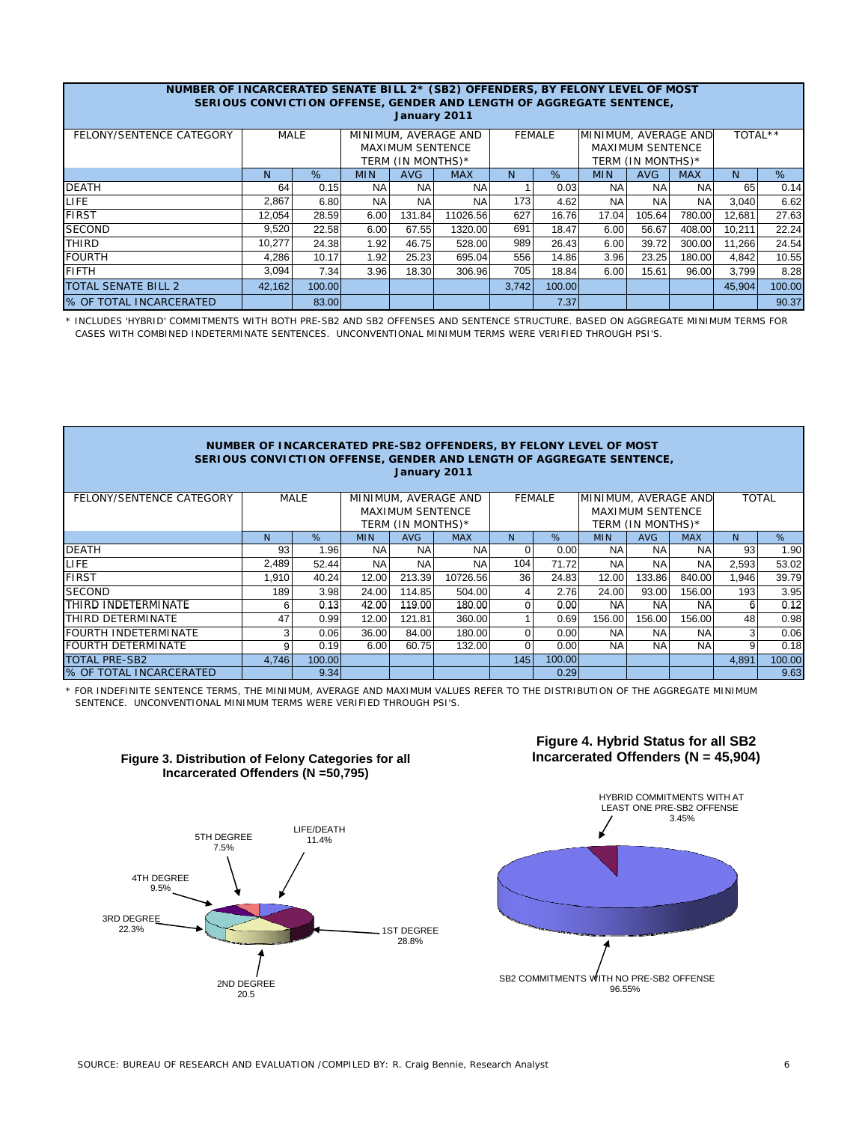|                                                                                                          | NUMBER OF INCARCERATED SENATE BILL 2* (SB2) OFFENDERS, BY FELONY LEVEL OF MOST |        |                                        |                         |                                                                      |       |        |            |                         |            |        |        |
|----------------------------------------------------------------------------------------------------------|--------------------------------------------------------------------------------|--------|----------------------------------------|-------------------------|----------------------------------------------------------------------|-------|--------|------------|-------------------------|------------|--------|--------|
|                                                                                                          |                                                                                |        |                                        |                         |                                                                      |       |        |            |                         |            |        |        |
|                                                                                                          |                                                                                |        |                                        |                         | SERIOUS CONVICTION OFFENSE, GENDER AND LENGTH OF AGGREGATE SENTENCE, |       |        |            |                         |            |        |        |
| January 2011                                                                                             |                                                                                |        |                                        |                         |                                                                      |       |        |            |                         |            |        |        |
| MINIMUM, AVERAGE AND<br>FELONY/SENTENCE CATEGORY<br><b>MALE</b><br>MINIMUM, AVERAGE AND<br><b>FEMALE</b> |                                                                                |        |                                        |                         |                                                                      |       |        |            |                         | TOTAL**    |        |        |
|                                                                                                          |                                                                                |        |                                        | <b>MAXIMUM SENTENCE</b> |                                                                      |       |        |            | <b>MAXIMUM SENTENCE</b> |            |        |        |
|                                                                                                          |                                                                                |        | TERM (IN MONTHS)*<br>TERM (IN MONTHS)* |                         |                                                                      |       |        |            |                         |            |        |        |
|                                                                                                          | N                                                                              | %      | <b>MIN</b>                             | <b>AVG</b>              | <b>MAX</b>                                                           | N     | %      | <b>MIN</b> | <b>AVG</b>              | <b>MAX</b> | N.     | %      |
| <b>DEATH</b>                                                                                             | 64                                                                             | 0.15   | <b>NA</b>                              | <b>NA</b>               | <b>NA</b>                                                            |       | 0.03   | <b>NA</b>  | <b>NA</b>               | <b>NA</b>  | 65     | 0.14   |
| LIFE.                                                                                                    | 2,867                                                                          | 6.80   | NA.                                    | <b>NA</b>               | <b>NA</b>                                                            | 173   | 4.62   | <b>NA</b>  | <b>NA</b>               | <b>NA</b>  | 3,040  | 6.62   |
| <b>FIRST</b>                                                                                             | 12,054                                                                         | 28.59  | 6.00                                   | 131.84                  | 11026.56                                                             | 627   | 16.76  | 17.04      | 105.64                  | 780.00     | 12,681 | 27.63  |
| <b>SECOND</b>                                                                                            | 9,520                                                                          | 22.58  | 6.00                                   | 67.55                   | 1320.00                                                              | 691   | 18.47  | 6.00       | 56.67                   | 408.00     | 10,211 | 22.24  |
| <b>THIRD</b>                                                                                             | 10,277                                                                         | 24.38  | 1.92                                   | 46.75                   | 528.00                                                               | 989   | 26.43  | 6.00       | 39.72                   | 300.00     | 11.266 | 24.54  |
| <b>FOURTH</b>                                                                                            | 4.286                                                                          | 10.17  | 1.92                                   | 25.23                   | 695.04                                                               | 556   | 14.86  | 3.96       | 23.25                   | 180.00     | 4.842  | 10.55  |
| <b>FIFTH</b>                                                                                             | 3,094                                                                          | 7.34   | 3.96                                   | 18.30                   | 306.96                                                               | 705   | 18.84  | 6.00       | 15.61                   | 96.00      | 3,799  | 8.28   |
| <b>TOTAL SENATE BILL 2</b>                                                                               | 42.162                                                                         | 100.00 |                                        |                         |                                                                      | 3,742 | 100.00 |            |                         |            | 45,904 | 100.00 |
| % OF TOTAL INCARCERATED                                                                                  |                                                                                | 83.00  |                                        |                         |                                                                      |       | 7.37   |            |                         |            |        | 90.37  |

\* INCLUDES 'HYBRID' COMMITMENTS WITH BOTH PRE-SB2 AND SB2 OFFENSES AND SENTENCE STRUCTURE. BASED ON AGGREGATE MINIMUM TERMS FOR CASES WITH COMBINED INDETERMINATE SENTENCES. UNCONVENTIONAL MINIMUM TERMS WERE VERIFIED THROUGH PSI'S.

### **NUMBER OF INCARCERATED PRE-SB2 OFFENDERS, BY FELONY LEVEL OF MOST SERIOUS CONVICTION OFFENSE, GENDER AND LENGTH OF AGGREGATE SENTENCE, January 2011**

| FELONY/SENTENCE CATEGORY       |       | MALE   | MINIMUM, AVERAGE AND<br><b>MAXIMUM SENTENCE</b><br>TERM (IN MONTHS)* |            |            |     | <b>FEMALE</b> | MINIMUM, AVERAGE AND | <b>MAXIMUM SENTENCE</b><br>TERM (IN MONTHS)* | <b>TOTAL</b> |       |        |
|--------------------------------|-------|--------|----------------------------------------------------------------------|------------|------------|-----|---------------|----------------------|----------------------------------------------|--------------|-------|--------|
|                                | N     | %      |                                                                      | <b>AVG</b> | <b>MAX</b> | N.  | %             | <b>MIN</b>           | <b>AVG</b>                                   | <b>MAX</b>   | N.    | %      |
| <b>DEATH</b>                   | 93    | 1.96   | NA.                                                                  | <b>NA</b>  | <b>NA</b>  |     | 0.00          | NA.                  | <b>NA</b>                                    | <b>NA</b>    | 93    | 1.90   |
| LIFE                           | 2.489 | 52.44  | NA.                                                                  | <b>NA</b>  | <b>NA</b>  | 104 | 71.72         | <b>NA</b>            | <b>NA</b>                                    | <b>NA</b>    | 2,593 | 53.02  |
| <b>FIRST</b>                   | 1.910 | 40.24  | 12.00                                                                | 213.39     | 10726.56   | 36  | 24.83         | 12.00                | 133.86                                       | 840.00       | 1,946 | 39.79  |
| <b>SECOND</b>                  | 189   | 3.98   | 24.00                                                                | 114.85     | 504.00     |     | 2.76          | 24.00                | 93.00                                        | 156.00       | 193   | 3.95   |
| THIRD INDETERMINATE            | 6     | 0.13   | 42.00                                                                | 119.00     | 180.00     |     | 0.00          | <b>NA</b>            | <b>NA</b>                                    | <b>NA</b>    | 6     | 0.12   |
| <b>THIRD DETERMINATE</b>       | 47    | 0.99   | 12.00                                                                | 121.81     | 360.00     |     | 0.69          | 156.00               | 156.00                                       | 156.00       | 48    | 0.98   |
| <b>FOURTH INDETERMINATE</b>    | 3     | 0.06   | 36.00                                                                | 84.00      | 180.00     |     | 0.00          | <b>NA</b>            | <b>NA</b>                                    | <b>NA</b>    | 3     | 0.06   |
| <b>FOURTH DETERMINATE</b>      | 9     | 0.19   | 6.00                                                                 | 60.75      | 132.00     |     | 0.00          | <b>NA</b>            | <b>NA</b>                                    | <b>NA</b>    | 9     | 0.18   |
| <b>TOTAL PRE-SB2</b>           | 4.746 | 100.00 |                                                                      |            |            | 145 | 100.00        |                      |                                              |              | 4.891 | 100.00 |
| <b>8 OF TOTAL INCARCERATED</b> |       | 9.34   |                                                                      |            |            |     | 0.29          |                      |                                              |              |       | 9.63   |

\* FOR INDEFINITE SENTENCE TERMS, THE MINIMUM, AVERAGE AND MAXIMUM VALUES REFER TO THE DISTRIBUTION OF THE AGGREGATE MINIMUM SENTENCE. UNCONVENTIONAL MINIMUM TERMS WERE VERIFIED THROUGH PSI'S.



### **Figure 3. Distribution of Felony Categories for all Incarcerated Offenders (N =50,795)**

# **Figure 4. Hybrid Status for all SB2 Incarcerated Offenders (N = 45,904)**

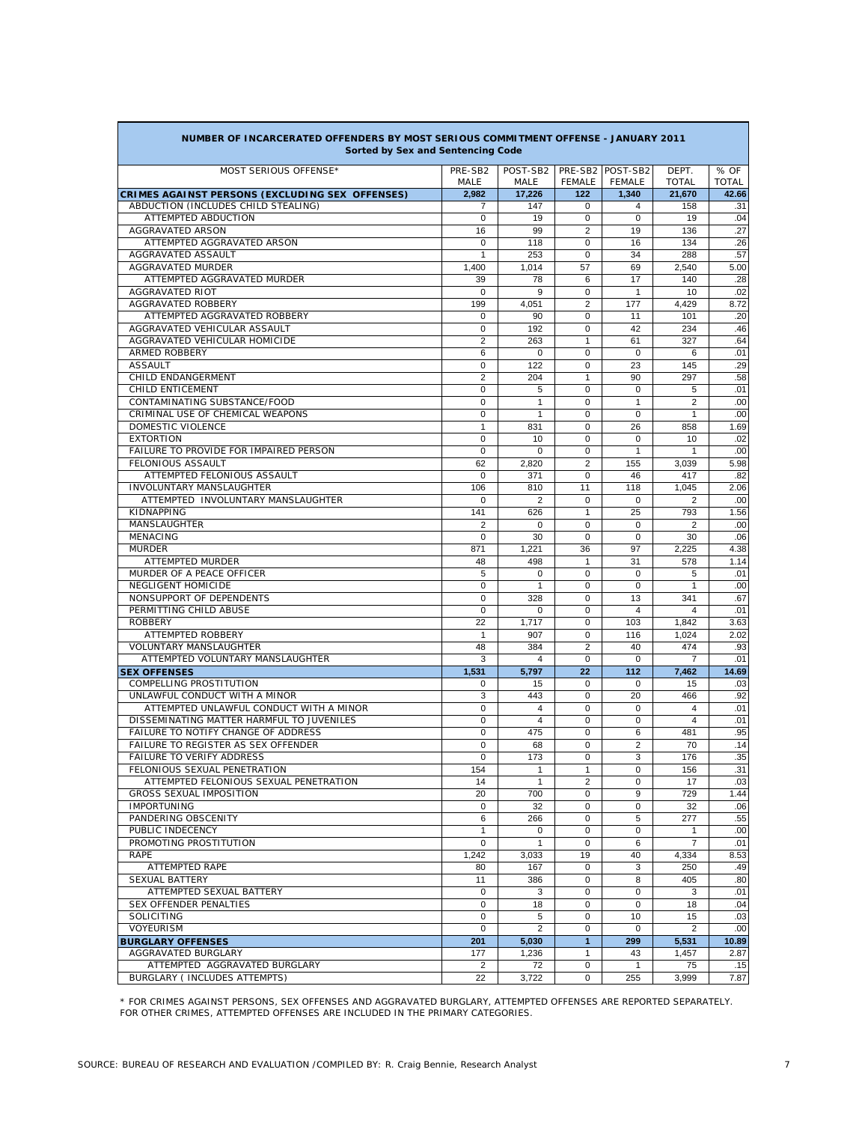| Sorted by Sex and Sentencing Code                                      |                   |                   |                                |                     |                         |              |
|------------------------------------------------------------------------|-------------------|-------------------|--------------------------------|---------------------|-------------------------|--------------|
| MOST SERIOUS OFFENSE <sup>®</sup>                                      | PRE-SB2           | POST-SB2          |                                | PRE-SB2 POST-SB2    | DEPT.                   | % OF         |
|                                                                        | MALE              | MALE              | <b>FEMALE</b>                  | FEMALE              | <b>TOTAL</b>            | <b>TOTAL</b> |
| CRIMES AGAINST PERSONS (EXCLUDING SEX OFFENSES)                        | 2,982             | 17,226            | 122                            | 1,340               | 21,670                  | 42.66        |
| ABDUCTION (INCLUDES CHILD STEALING)                                    | 7                 | 147               | 0                              | 4                   | 158                     | .31          |
| ATTEMPTED ABDUCTION                                                    | $\mathbf 0$       | 19                | $\mathbf 0$                    | $\mathbf 0$         | 19                      | .04          |
| <b>AGGRAVATED ARSON</b>                                                | 16                | 99                | 2                              | 19                  | 136                     | .27          |
| ATTEMPTED AGGRAVATED ARSON                                             | $\Omega$          | 118               | $\mathbf 0$                    | 16                  | 134                     | .26          |
| AGGRAVATED ASSAULT                                                     | 1                 | 253               | $\mathbf 0$                    | 34                  | 288                     | .57          |
| AGGRAVATED MURDER                                                      | 1,400             | 1,014             | 57                             | 69                  | 2,540                   | 5.00         |
| ATTEMPTED AGGRAVATED MURDER<br><b>AGGRAVATED RIOT</b>                  | 39                | 78                | 6                              | 17                  | 140                     | .28          |
| <b>AGGRAVATED ROBBERY</b>                                              | $\Omega$<br>199   | 9<br>4.051        | $\Omega$<br>$\overline{2}$     | $\mathbf{1}$<br>177 | 10<br>4.429             | .02<br>8.72  |
| ATTEMPTED AGGRAVATED ROBBERY                                           | 0                 | 90                | $\mathbf 0$                    | 11                  | 101                     | .20          |
| AGGRAVATED VEHICULAR ASSAULT                                           | $\mathbf 0$       | 192               | $\mathbf 0$                    | 42                  | 234                     | .46          |
| AGGRAVATED VEHICULAR HOMICIDE                                          | $\overline{2}$    | 263               | $\mathbf{1}$                   | 61                  | 327                     | .64          |
| <b>ARMED ROBBERY</b>                                                   | 6                 | $\Omega$          | $\Omega$                       | $\Omega$            | 6                       | .01          |
| <b>ASSAULT</b>                                                         | $\mathbf 0$       | 122               | $\mathbf 0$                    | 23                  | 145                     | .29          |
| CHILD ENDANGERMENT                                                     | $\overline{2}$    | 204               | $\mathbf{1}$                   | 90                  | 297                     | .58          |
| <b>CHILD ENTICEMENT</b>                                                | $\mathbf 0$       | 5                 | $\Omega$                       | $\Omega$            | 5                       | .01          |
| CONTAMINATING SUBSTANCE/FOOD                                           | $\mathbf 0$       | 1                 | $\mathbf 0$                    | $\mathbf{1}$        | $\overline{2}$          | .00          |
| CRIMINAL USE OF CHEMICAL WEAPONS                                       | $\mathbf 0$       | 1                 | $\mathbf 0$                    | 0                   | $\mathbf{1}$            | .00          |
| <b>DOMESTIC VIOLENCE</b>                                               | 1                 | 831               | $\mathbf 0$                    | 26                  | 858                     | 1.69         |
| <b>EXTORTION</b>                                                       | $\Omega$          | 10                | $\mathbf 0$                    | $\Omega$            | 10                      | .02          |
| FAILURE TO PROVIDE FOR IMPAIRED PERSON                                 | $\Omega$          | $\Omega$          | $\Omega$                       | 1                   | 1                       | .00          |
| FELONIOUS ASSAULT                                                      | 62                | 2,820             | $\overline{2}$                 | 155                 | 3,039                   | 5.98         |
| ATTEMPTED FELONIOUS ASSAULT                                            | $\mathbf 0$       | 371               | $\mathbf 0$                    | 46                  | 417                     | .82          |
| <b>INVOLUNTARY MANSLAUGHTER</b>                                        | 106               | 810               | 11                             | 118                 | 1,045                   | 2.06         |
| ATTEMPTED INVOLUNTARY MANSLAUGHTER                                     | $\mathbf 0$       | $\overline{2}$    | $\Omega$                       | $\Omega$            | 2                       | .00          |
| KIDNAPPING                                                             | 141               | 626               | $\mathbf{1}$                   | 25                  | 793                     | 1.56         |
| <b>MANSLAUGHTER</b>                                                    | $\overline{2}$    | $\mathbf 0$       | $\mathbf 0$                    | $\mathbf 0$         | $\overline{2}$          | .00          |
| <b>MENACING</b>                                                        | $\mathbf 0$       | 30                | $\mathbf 0$                    | $\mathbf 0$         | 30                      | .06          |
| <b>MURDER</b>                                                          | 871               | 1,221             | 36                             | 97                  | 2.225                   | 4.38         |
| ATTEMPTED MURDER                                                       | 48                | 498               | $\mathbf{1}$                   | 31                  | 578                     | 1.14         |
| MURDER OF A PEACE OFFICER                                              | 5                 | $\Omega$          | $\Omega$                       | $\Omega$            | 5                       | .01          |
| <b>NEGLIGENT HOMICIDE</b>                                              | $\mathbf 0$       | $\mathbf{1}$      | $\mathbf 0$                    | $\mathbf 0$         | $\mathbf{1}$            | .00          |
| NONSUPPORT OF DEPENDENTS                                               | $\mathbf 0$       | 328               | $\Omega$                       | 13                  | 341                     | .67          |
| PERMITTING CHILD ABUSE                                                 | $\mathbf 0$       | $\mathbf 0$       | $\mathbf 0$                    | $\overline{4}$      | $\overline{\mathbf{4}}$ | .01          |
| <b>ROBBERY</b>                                                         | 22                | 1,717             | $\mathbf 0$                    | 103                 | 1,842                   | 3.63         |
| ATTEMPTED ROBBERY                                                      | $\mathbf{1}$      | 907               | $\mathbf 0$                    | 116                 | 1,024                   | 2.02         |
| <b>VOLUNTARY MANSLAUGHTER</b>                                          | 48                | 384               | $\overline{2}$                 | 40                  | 474                     | .93          |
| ATTEMPTED VOLUNTARY MANSLAUGHTER                                       | 3                 | 4                 | $\Omega$                       | 0                   | $\overline{7}$          | .01          |
| <b>SEX OFFENSES</b>                                                    | 1,531             | 5,797             | 22                             | 112                 | 7,462                   | 14.69        |
| <b>COMPELLING PROSTITUTION</b>                                         | $\mathbf 0$       | 15                | $\mathbf 0$                    | 0                   | 15                      | .03          |
| UNLAWFUL CONDUCT WITH A MINOR                                          | 3                 | 443               | $\Omega$                       | 20                  | 466                     | .92          |
| ATTEMPTED UNLAWFUL CONDUCT WITH A MINOR                                | $\mathbf 0$       | 4                 | $\mathbf 0$                    | $\mathbf 0$         | 4                       | .01          |
| DISSEMINATING MATTER HARMFUL TO JUVENILES                              | $\mathbf 0$       | 4                 | $\mathbf 0$                    | 0                   | $\overline{4}$          | .01          |
| FAILURE TO NOTIFY CHANGE OF ADDRESS                                    | $\mathbf 0$       | 475               | $\mathbf 0$                    | 6                   | 481                     | .95          |
| FAILURE TO REGISTER AS SEX OFFENDER                                    | $\Omega$          | 68                | $\mathbf 0$                    | 2                   | 70                      | .14          |
| <b>FAILURE TO VERIFY ADDRESS</b>                                       | 0                 | 173               | $\Omega$                       | 3                   | 176                     | .35          |
| FELONIOUS SEXUAL PENETRATION<br>ATTEMPTED FELONIOUS SEXUAL PENETRATION | 154<br>14         | 1<br>$\mathbf{1}$ | $\mathbf{1}$<br>$\overline{2}$ | 0<br>$\Omega$       | 156                     | .31          |
| <b>GROSS SEXUAL IMPOSITION</b>                                         |                   |                   |                                |                     | 17                      | .03          |
| <b>IMPORTUNING</b>                                                     | 20<br>$\mathbf 0$ | 700<br>32         | 0<br>0                         | 9<br>0              | 729<br>32               | 1.44<br>.06  |
| PANDERING OBSCENITY                                                    | 6                 | 266               | 0                              | 5                   | 277                     | .55          |
| PUBLIC INDECENCY                                                       | $\mathbf{1}$      | $\mathbf 0$       | 0                              | 0                   | $\mathbf{1}$            | .00          |
| PROMOTING PROSTITUTION                                                 | $\mathbf 0$       | $\mathbf{1}$      | $\mathbf 0$                    | 6                   | $\overline{7}$          | .01          |
| <b>RAPE</b>                                                            | 1,242             | 3,033             | 19                             | 40                  | 4,334                   | 8.53         |
| <b>ATTEMPTED RAPE</b>                                                  | 80                | 167               | 0                              | 3                   | 250                     | .49          |
| SEXUAL BATTERY                                                         | 11                | 386               | 0                              | 8                   | 405                     | .80          |
| ATTEMPTED SEXUAL BATTERY                                               | $\mathbf 0$       | 3                 | 0                              | 0                   | 3                       | .01          |
| SEX OFFENDER PENALTIES                                                 | $\mathbf 0$       | 18                | $\mathbf 0$                    | 0                   | 18                      | .04          |
| <b>SOLICITING</b>                                                      | $\mathbf 0$       | 5                 | 0                              | 10                  | 15                      | .03          |
| <b>VOYEURISM</b>                                                       | 0                 | 2                 | 0                              | 0                   | $\overline{2}$          | .00          |
| <b>BURGLARY OFFENSES</b>                                               | 201               | 5,030             | $\mathbf{1}$                   | 299                 | 5,531                   | 10.89        |
| AGGRAVATED BURGLARY                                                    | 177               | 1,236             | 1                              | 43                  | 1,457                   | 2.87         |
| ATTEMPTED AGGRAVATED BURGLARY                                          | 2                 | 72                | 0                              | 1                   | 75                      | .15          |
| BURGLARY ( INCLUDES ATTEMPTS)                                          | 22                | 3,722             | $\mathbf 0$                    | 255                 | 3,999                   | 7.87         |

### **NUMBER OF INCARCERATED OFFENDERS BY MOST SERIOUS COMMITMENT OFFENSE - JANUARY 2011 Sorted by Sex and Sentencing Code**

\* FOR CRIMES AGAINST PERSONS, SEX OFFENSES AND AGGRAVATED BURGLARY, ATTEMPTED OFFENSES ARE REPORTED SEPARATELY. FOR OTHER CRIMES, ATTEMPTED OFFENSES ARE INCLUDED IN THE PRIMARY CATEGORIES.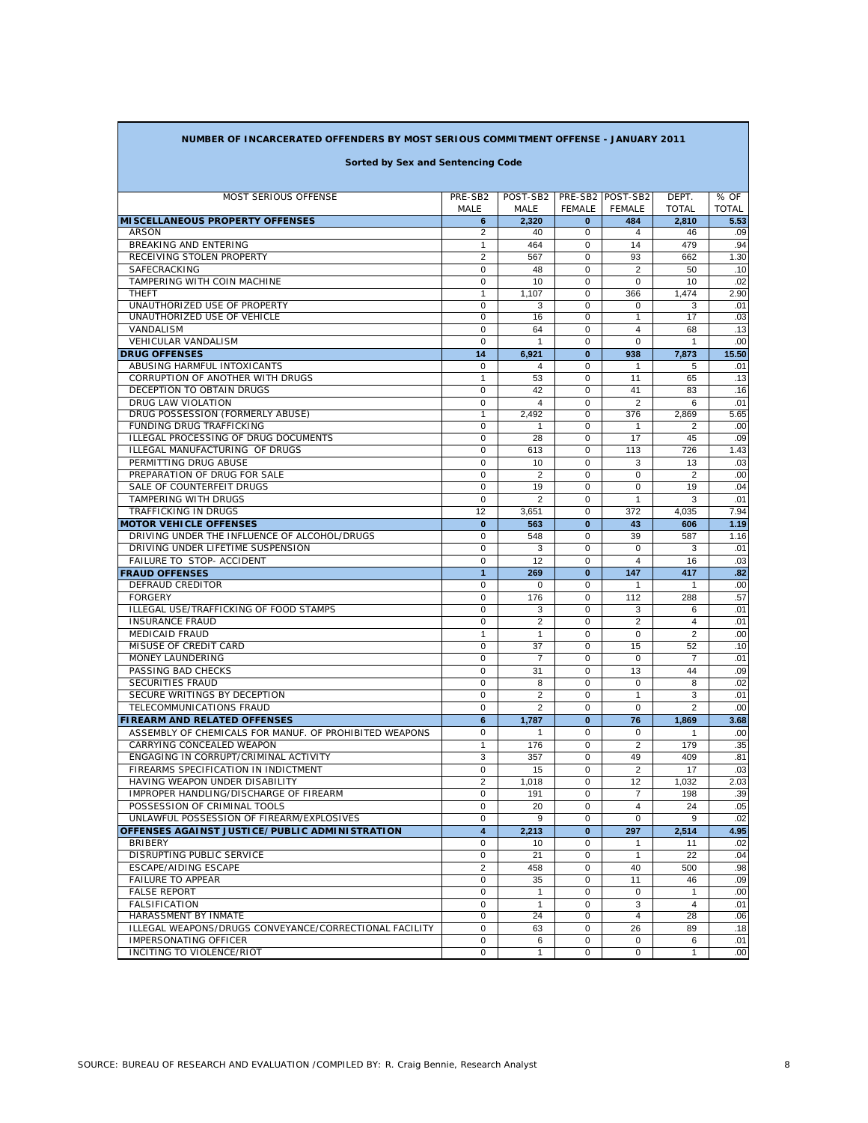### **NUMBER OF INCARCERATED OFFENDERS BY MOST SERIOUS COMMITMENT OFFENSE - JANUARY 2011**

## **Sorted by Sex and Sentencing Code**

| <b>MOST SERIOUS OFFENSE</b>                            | PRE-SB2        | POST-SB2       |               | PRE-SB2 POST-SB2 | DEPT.          | % OF         |
|--------------------------------------------------------|----------------|----------------|---------------|------------------|----------------|--------------|
|                                                        | MALE           | MALE           | <b>FEMALE</b> | <b>FEMALE</b>    | <b>TOTAL</b>   | <b>TOTAL</b> |
| <b>MI SCELLANEOUS PROPERTY OFFENSES</b>                | 6              | 2,320          | $\mathbf{0}$  | 484              | 2.810          | 5.53         |
| ARSON                                                  | 2              | 40             | 0             | 4                | 46             | .09          |
| <b>BREAKING AND ENTERING</b>                           | 1              | 464            | 0             | 14               | 479            | .94          |
| RECEIVING STOLEN PROPERTY                              | $\overline{2}$ | 567            | $\mathbf 0$   | 93               | 662            | 1.30         |
| SAFECRACKING                                           | $\mathbf 0$    | 48             | $\Omega$      | $\overline{2}$   | 50             | .10          |
| TAMPERING WITH COIN MACHINE                            | $\Omega$       | 10             | $\mathbf 0$   | $\Omega$         | 10             | .02          |
| <b>THEFT</b>                                           | 1              | 1,107          | 0             | 366              | 1,474          | 2.90         |
| UNAUTHORIZED USE OF PROPERTY                           | 0              | 3              | 0             | 0                | 3              | .01          |
| UNAUTHORIZED USE OF VEHICLE                            | 0              | 16             | 0             | $\mathbf{1}$     | 17             | .03          |
| VANDALISM                                              | $\Omega$       | 64             | $\Omega$      | $\overline{4}$   | 68             | .13          |
| <b>VEHICULAR VANDALISM</b>                             | $\Omega$       | $\mathbf{1}$   | $\Omega$      | $\Omega$         | $\mathbf{1}$   | .00          |
|                                                        | 14             | 6.921          | $\bf{0}$      | 938              | 7,873          | 15.50        |
| <b>DRUG OFFENSES</b>                                   |                |                |               |                  |                |              |
| ABUSING HARMFUL INTOXICANTS                            | $\mathbf 0$    | 4              | 0             | 1                | 5              | .01          |
| CORRUPTION OF ANOTHER WITH DRUGS                       | 1              | 53             | $\Omega$      | 11               | 65             | .13          |
| DECEPTION TO OBTAIN DRUGS                              | 0              | 42             | $\Omega$      | 41               | 83             | .16          |
| <b>DRUG LAW VIOLATION</b>                              | 0              | $\overline{4}$ | $\Omega$      | $\overline{2}$   | 6              | .01          |
| DRUG POSSESSION (FORMERLY ABUSE)                       | 1              | 2,492          | $\mathbf 0$   | 376              | 2,869          | 5.65         |
| FUNDING DRUG TRAFFICKING                               | $\mathbf 0$    | 1              | 0             | 1                | 2              | .00          |
| ILLEGAL PROCESSING OF DRUG DOCUMENTS                   | $\mathbf 0$    | 28             | 0             | 17               | 45             | .09          |
| ILLEGAL MANUFACTURING OF DRUGS                         | 0              | 613            | $\Omega$      | 113              | 726            | 1.43         |
| PERMITTING DRUG ABUSE                                  | 0              | 10             | $\Omega$      | 3                | 13             | .03          |
| PREPARATION OF DRUG FOR SALE                           | $\Omega$       | $\overline{2}$ | 0             | $\Omega$         | $\overline{2}$ | .00          |
| SALE OF COUNTERFEIT DRUGS                              | $\mathbf 0$    | 19             | 0             | $\mathbf 0$      | 19             | .04          |
| <b>TAMPERING WITH DRUGS</b>                            | $\Omega$       | $\overline{2}$ | $\Omega$      | $\mathbf{1}$     | 3              | .01          |
| <b>TRAFFICKING IN DRUGS</b>                            | 12             | 3,651          | $\Omega$      | 372              | 4.035          | 7.94         |
| <b>MOTOR VEHICLE OFFENSES</b>                          | $\bf{0}$       | 563            | $\bf{0}$      | 43               | 606            | 1.19         |
| DRIVING UNDER THE INFLUENCE OF ALCOHOL/DRUGS           | 0              | 548            | 0             | 39               | 587            | 1.16         |
|                                                        |                |                | $\Omega$      |                  |                |              |
| DRIVING UNDER LIFETIME SUSPENSION                      | 0              | 3              |               | $\Omega$         | 3              | .01          |
| <b>FAILURE TO STOP- ACCIDENT</b>                       | $\Omega$       | 12             | $\Omega$      | $\overline{4}$   | 16             | .03          |
| <b>FRAUD OFFENSES</b>                                  | 1              | 269            | $\bf{0}$      | 147              | 417            | .82          |
| DEFRAUD CREDITOR                                       | $\mathbf 0$    | $\mathbf 0$    | 0             | $\overline{1}$   | $\mathbf{1}$   | .00          |
| <b>FORGERY</b>                                         | $\mathbf 0$    | 176            | $\mathbf 0$   | 112              | 288            | .57          |
| ILLEGAL USE/TRAFFICKING OF FOOD STAMPS                 | $\mathbf 0$    | 3              | $\Omega$      | 3                | 6              | .01          |
| <b>INSURANCE FRAUD</b>                                 | $\mathbf 0$    | $\overline{2}$ | 0             | $\overline{2}$   | 4              | .01          |
| <b>MEDICAID FRAUD</b>                                  | $\mathbf{1}$   | $\mathbf{1}$   | 0             | 0                | 2              | .00          |
| MISUSE OF CREDIT CARD                                  | $\mathbf 0$    | 37             | $\mathbf 0$   | 15               | 52             | .10          |
| MONEY LAUNDERING                                       | 0              | $\overline{7}$ | $\Omega$      | $\Omega$         | 7              | .01          |
| PASSING BAD CHECKS                                     | $\Omega$       | 31             | 0             | 13               | 44             | .09          |
| SECURITIES FRAUD                                       | $\mathbf 0$    | 8              | 0             | $\mathbf 0$      | 8              | .02          |
| SECURE WRITINGS BY DECEPTION                           | $\Omega$       | $\overline{2}$ | $\mathbf 0$   | $\mathbf{1}$     | 3              | .01          |
| TELECOMMUNICATIONS FRAUD                               | $\Omega$       | $\overline{2}$ | $\Omega$      | $\Omega$         | $\overline{2}$ | .00          |
|                                                        |                |                |               |                  |                |              |
| <b>FIREARM AND RELATED OFFENSES</b>                    | 6              | 1.787          | $\bf{0}$      | 76               | 1.869          | 3.68         |
| ASSEMBLY OF CHEMICALS FOR MANUF. OF PROHIBITED WEAPONS | $\mathbf 0$    | $\mathbf{1}$   | 0             | $\mathbf 0$      | 1              | .00          |
| CARRYING CONCEALED WEAPON                              | 1              | 176            | 0             | $\overline{2}$   | 179            | .35          |
| ENGAGING IN CORRUPT/CRIMINAL ACTIVITY                  | 3              | 357            | 0             | 49               | 409            | .81          |
| FIREARMS SPECIFICATION IN INDICTMENT                   | 0              | 15             | 0             | $\overline{2}$   | 17             | .03          |
| HAVING WEAPON UNDER DISABILITY                         | $\overline{2}$ | 1.018          | $\Omega$      | 12               | 1.032          | 2.03         |
| IMPROPER HANDLING/DISCHARGE OF FIREARM                 | $\Omega$       | 191            | 0             | $\overline{7}$   | 198            | .39          |
| POSSESSION OF CRIMINAL TOOLS                           | $\mathbf 0$    | 20             | 0             | $\overline{4}$   | 24             | .05          |
| UNLAWFUL POSSESSION OF FIREARM/EXPLOSIVES              | 0              | $\alpha$       | 0             | $\mathbf 0$      | $\alpha$       | .02          |
| OFFENSES AGAINST JUSTICE/PUBLIC ADMINISTRATION         | 4              | 2,213          | $\bf{0}$      | 297              | 2,514          | 4.95         |
| <b>BRIBERY</b>                                         | 0              | 10             | 0             | 1                | 11             | .02          |
| DISRUPTING PUBLIC SERVICE                              | 0              | 21             | 0             | $\overline{1}$   | 22             | .04          |
|                                                        |                |                |               |                  |                |              |
| ESCAPE/AIDING ESCAPE                                   | 2              | 458            | 0             | 40               | 500            | .98          |
| <b>FAILURE TO APPEAR</b>                               | 0              | 35             | 0             | 11               | 46             | .09          |
| <b>FALSE REPORT</b>                                    | $\mathbf 0$    | $\mathbf{1}$   | $\mathbf 0$   | $\mathbf 0$      | $\mathbf{1}$   | .00          |
| <b>FALSIFICATION</b>                                   | $\mathbf 0$    | $\mathbf{1}$   | 0             | 3                | $\overline{4}$ | .01          |
| HARASSMENT BY INMATE                                   | $\mathbf 0$    | 24             | 0             | $\overline{4}$   | 28             | .06          |
| ILLEGAL WEAPONS/DRUGS CONVEYANCE/CORRECTIONAL FACILITY | $\mathbf 0$    | 63             | 0             | 26               | 89             | .18          |
| <b>IMPERSONATING OFFICER</b>                           | 0              | 6              | 0             | 0                | 6              | .01          |
| INCITING TO VIOLENCE/RIOT                              | 0              | $\mathbf{1}$   | 0             | $\mathbf 0$      | $\mathbf{1}$   | .00          |